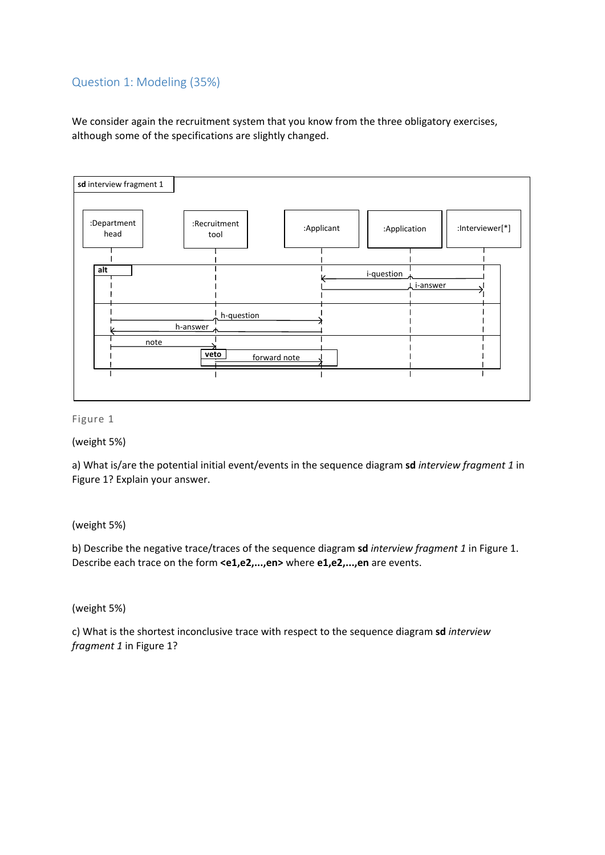# Question 1: Modeling (35%)

We consider again the recruitment system that you know from the three obligatory exercises, although some of the specifications are slightly changed.



#### Figure 1

# (weight 5%)

a) What is/are the potential initial event/events in the sequence diagram **sd** *interview fragment 1* in Figure 1? Explain your answer.

# (weight 5%)

b) Describe the negative trace/traces of the sequence diagram **sd** *interview fragment 1* in Figure 1. Describe each trace on the form **<e1,e2,...,en>** where **e1,e2,...,en** are events.

# (weight 5%)

c) What is the shortest inconclusive trace with respect to the sequence diagram **sd** *interview fragment 1* in Figure 1?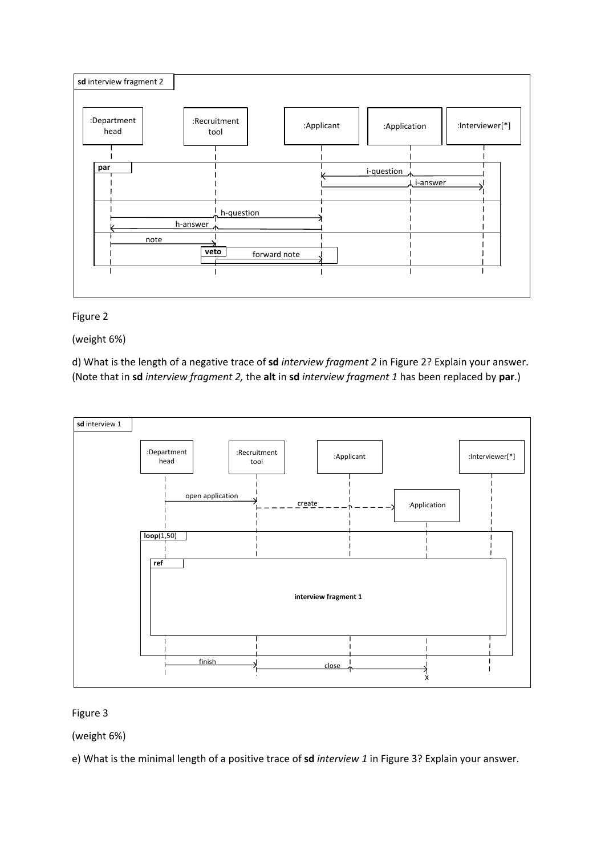

# Figure 2

(weight 6%)

d) What is the length of a negative trace of **sd** *interview fragment 2* in Figure 2? Explain your answer. (Note that in **sd** *interview fragment 2,* the **alt** in **sd** *interview fragment 1* has been replaced by **par**.)



# Figure 3

(weight 6%)

e) What is the minimal length of a positive trace of **sd** *interview 1* in Figure 3? Explain your answer.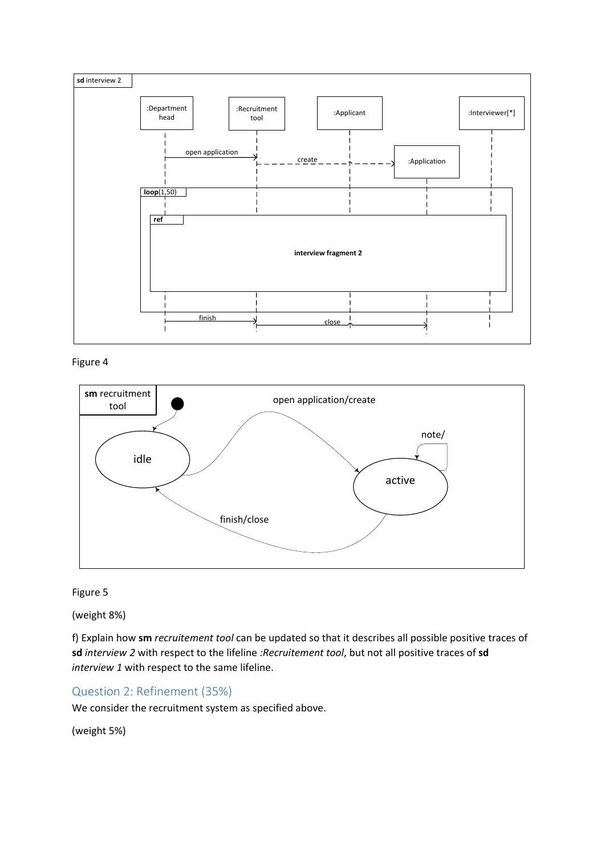

Figure 4



# Figure 5

(weight 8%)

f) Explain how **sm** *recruitement tool* can be updated so that it describes all possible positive traces of **sd** *interview 2* with respect to the lifeline *:Recruitement tool*, but not all positive traces of **sd** *interview 1* with respect to the same lifeline.

# Question 2: Refinement (35%)

We consider the recruitment system as specified above.

(weight 5%)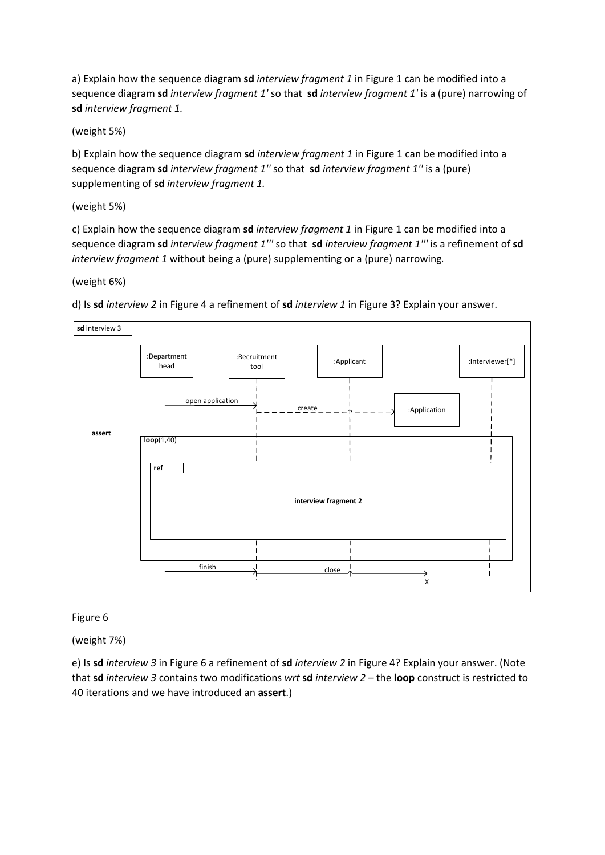a) Explain how the sequence diagram **sd** *interview fragment 1* in Figure 1 can be modified into a sequence diagram **sd** *interview fragment 1'* so that **sd** *interview fragment 1'* is a (pure) narrowing of **sd** *interview fragment 1.*

(weight 5%)

b) Explain how the sequence diagram **sd** *interview fragment 1* in Figure 1 can be modified into a sequence diagram **sd** *interview fragment 1''* so that **sd** *interview fragment 1''* is a (pure) supplementing of **sd** *interview fragment 1.*

### (weight 5%)

c) Explain how the sequence diagram **sd** *interview fragment 1* in Figure 1 can be modified into a sequence diagram **sd** *interview fragment 1'''* so that **sd** *interview fragment 1'''* is a refinement of **sd** *interview fragment 1* without being a (pure) supplementing or a (pure) narrowing*.*

#### (weight 6%)

:Department head :Recruitment ruitment<br>tool | :Applicant **loop**(1,40) **sd** interview 3 open application :Interviewer[\*] :Application X **interview fragment 2 ref** finish  $\qquad \qquad$  dose create **assert**

d) Is **sd** *interview 2* in Figure 4 a refinement of **sd** *interview 1* in Figure 3? Explain your answer.

# Figure 6

(weight 7%)

e) Is **sd** *interview 3* in Figure 6 a refinement of **sd** *interview 2* in Figure 4? Explain your answer. (Note that **sd** *interview 3* contains two modifications *wrt* **sd** *interview 2 –* the **loop** construct is restricted to 40 iterations and we have introduced an **assert**.)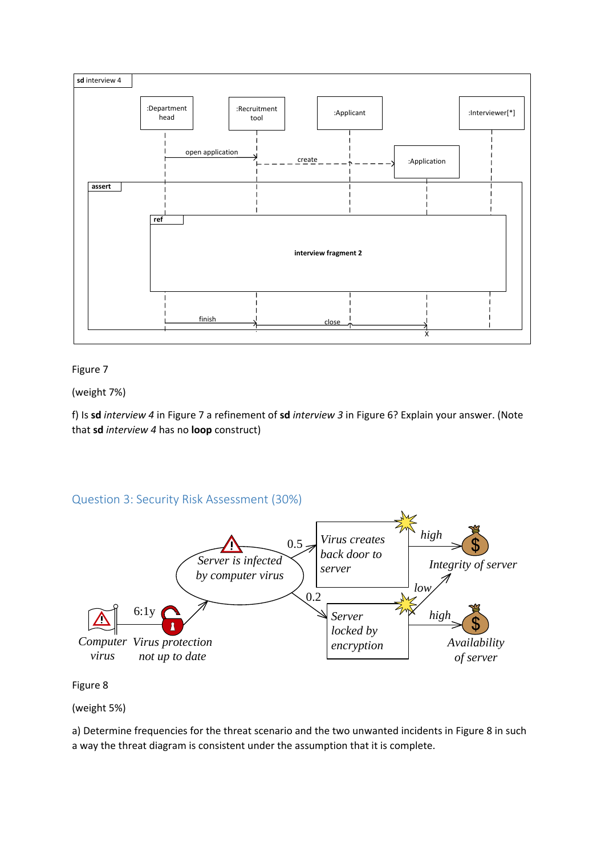

#### Figure 7

(weight 7%)

f) Is **sd** *interview 4* in Figure 7 a refinement of **sd** *interview 3* in Figure 6? Explain your answer. (Note that **sd** *interview 4* has no **loop** construct)

# Question 3: Security Risk Assessment (30%)



Figure 8

(weight 5%)

a) Determine frequencies for the threat scenario and the two unwanted incidents in Figure 8 in such a way the threat diagram is consistent under the assumption that it is complete.